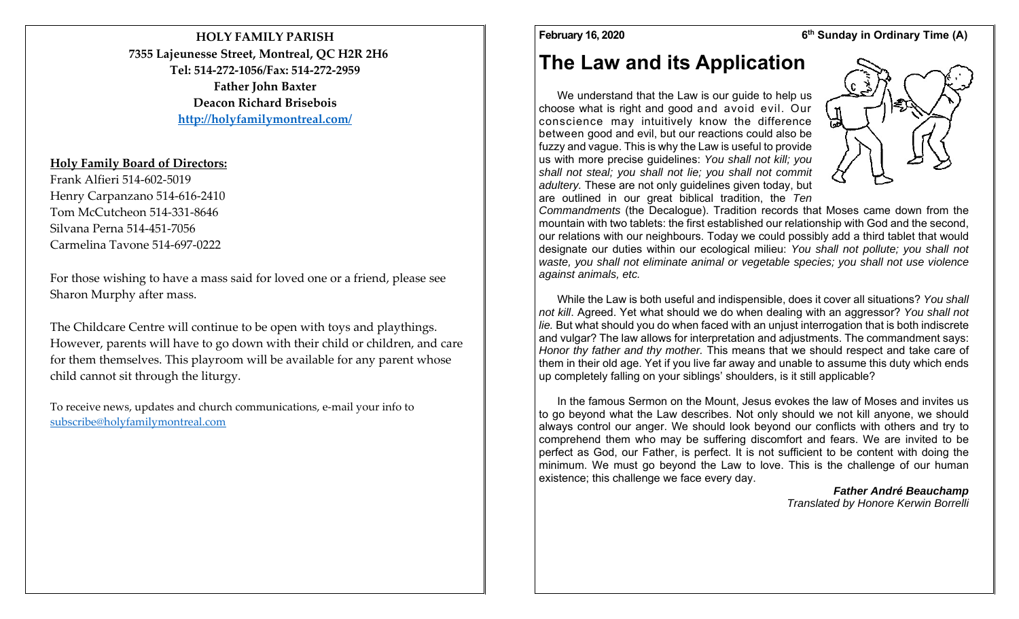**HOLY FAMILY PARISH7355 Lajeunesse Street, Montreal, QC H2R 2H6 Tel: 514‐272‐1056/Fax: 514‐272‐2959Father John Baxter Deacon Richard Brisebois http://holyfamilymontreal.com/**

## **Holy Family Board of Directors:**

Frank Alfieri 514‐602‐5019 Henry Carpanzano 514‐616‐2410 Tom McCutcheon 514‐331‐8646 Silvana Perna 514‐451‐7056 Carmelina Tavone 514‐697‐0222

For those wishing to have a mass said for loved one or a friend, please see Sharon Murphy after mass.

The Childcare Centre will continue to be open with toys and playthings. However, parents will have to go down with their child or children, and care for them themselves. This playroom will be available for any paren<sup>t</sup> whose child cannot sit through the liturgy.

To receive news, updates and church communications, <sup>e</sup>‐mail your info to subscribe@holyfamilymontreal.com

### February 16, 2020 **6<sup>th</sup> Sunday in Ordinary Time (A)**

# **The Law and its Application**

We understand that the Law is our guide to help us choose what is right and good and avoid evil. Our conscience may intuitively know the difference between good and evil, but our reactions could also be fuzzy and vague. This is why the Law is useful to provide us with more precise guidelines: *You shall not kill; you shall not steal; you shall not lie; you shall not commit adultery.* These are not only guidelines given today, but are outlined in our great biblical tradition, the *Ten* 



*Commandments* (the Decalogue). Tradition records that Moses came down from the mountain with two tablets: the first established our relationship with God and the second, our relations with our neighbours. Today we could possibly add a third tablet that would designate our duties within our ecological milieu: *You shall not pollute; you shall not waste, you shall not eliminate animal or vegetable species; you shall not use violence against animals, etc.* 

While the Law is both useful and indispensible, does it cover all situations? *You shall not kill*. Agreed. Yet what should we do when dealing with an aggressor? *You shall not lie.* But what should you do when faced with an unjust interrogation that is both indiscrete and vulgar? The law allows for interpretation and adjustments. The commandment says: *Honor thy father and thy mother.* This means that we should respect and take care of them in their old age. Yet if you live far away and unable to assume this duty which ends up completely falling on your siblings' shoulders, is it still applicable?

In the famous Sermon on the Mount, Jesus evokes the law of Moses and invites us to go beyond what the Law describes. Not only should we not kill anyone, we should always control our anger. We should look beyond our conflicts with others and try to comprehend them who may be suffering discomfort and fears. We are invited to be perfect as God, our Father, is perfect. It is not sufficient to be content with doing the minimum. We must go beyond the Law to love. This is the challenge of our human existence; this challenge we face every day.

*Father André Beauchamp Translated by Honore Kerwin Borrelli*